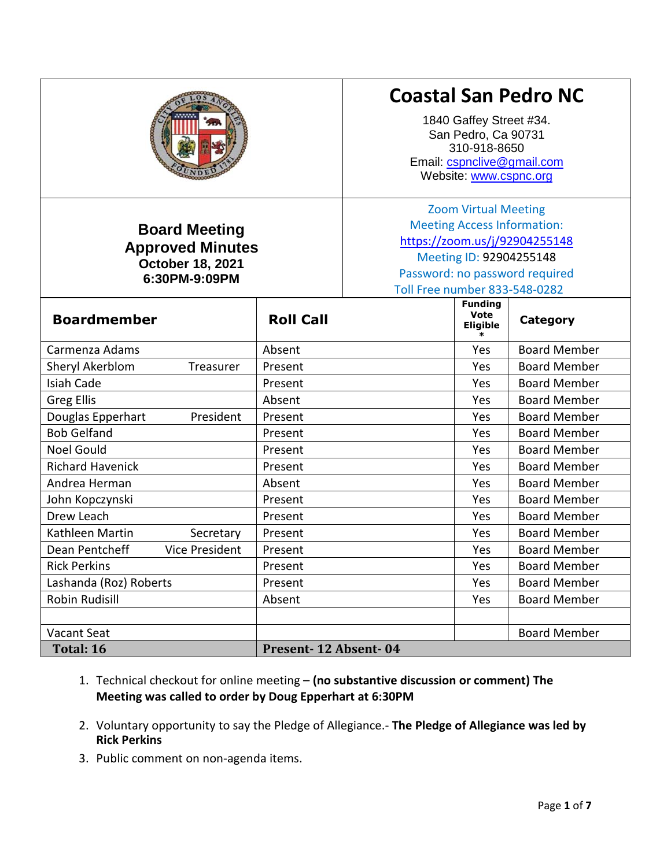|                                                                                             |                      |                                                                                                                                                                                                  | 1840 Gaffey Street #34.<br>San Pedro, Ca 90731<br>310-918-8650<br>Website: www.cspnc.org | <b>Coastal San Pedro NC</b><br>Email: cspnclive@gmail.com |
|---------------------------------------------------------------------------------------------|----------------------|--------------------------------------------------------------------------------------------------------------------------------------------------------------------------------------------------|------------------------------------------------------------------------------------------|-----------------------------------------------------------|
| <b>Board Meeting</b><br><b>Approved Minutes</b><br><b>October 18, 2021</b><br>6:30PM-9:09PM |                      | <b>Zoom Virtual Meeting</b><br><b>Meeting Access Information:</b><br>https://zoom.us/j/92904255148<br>Meeting ID: 92904255148<br>Password: no password required<br>Toll Free number 833-548-0282 |                                                                                          |                                                           |
| <b>Boardmember</b>                                                                          | <b>Roll Call</b>     |                                                                                                                                                                                                  | <b>Funding</b><br><b>Vote</b><br><b>Eligible</b>                                         | <b>Category</b>                                           |
| Carmenza Adams                                                                              | Absent               |                                                                                                                                                                                                  | Yes                                                                                      | <b>Board Member</b>                                       |
| Sheryl Akerblom<br>Treasurer                                                                | Present              |                                                                                                                                                                                                  | Yes                                                                                      | <b>Board Member</b>                                       |
| <b>Isiah Cade</b>                                                                           | Present              |                                                                                                                                                                                                  | Yes                                                                                      | <b>Board Member</b>                                       |
| <b>Greg Ellis</b>                                                                           | Absent               |                                                                                                                                                                                                  | Yes                                                                                      | <b>Board Member</b>                                       |
| Douglas Epperhart<br>President                                                              | Present              |                                                                                                                                                                                                  | Yes                                                                                      | <b>Board Member</b>                                       |
| <b>Bob Gelfand</b>                                                                          | Present              |                                                                                                                                                                                                  | Yes                                                                                      | <b>Board Member</b>                                       |
| Noel Gould                                                                                  | Present              |                                                                                                                                                                                                  | Yes                                                                                      | <b>Board Member</b>                                       |
| <b>Richard Havenick</b>                                                                     | Present              |                                                                                                                                                                                                  | Yes                                                                                      | <b>Board Member</b>                                       |
| Andrea Herman                                                                               | Absent               |                                                                                                                                                                                                  | Yes                                                                                      | <b>Board Member</b>                                       |
| John Kopczynski                                                                             | Present              |                                                                                                                                                                                                  | Yes                                                                                      | <b>Board Member</b>                                       |
| Drew Leach                                                                                  | Present              |                                                                                                                                                                                                  | Yes                                                                                      | <b>Board Member</b>                                       |
| Kathleen Martin<br>Secretary                                                                | Present              |                                                                                                                                                                                                  | Yes                                                                                      | <b>Board Member</b>                                       |
| Dean Pentcheff<br><b>Vice President</b>                                                     | Present              |                                                                                                                                                                                                  | Yes                                                                                      | <b>Board Member</b>                                       |
| <b>Rick Perkins</b>                                                                         | Present              |                                                                                                                                                                                                  | Yes                                                                                      | Board Member                                              |
| Lashanda (Roz) Roberts                                                                      | Present              |                                                                                                                                                                                                  | Yes                                                                                      | <b>Board Member</b>                                       |
| <b>Robin Rudisill</b>                                                                       | Absent               |                                                                                                                                                                                                  | Yes                                                                                      | <b>Board Member</b>                                       |
|                                                                                             |                      |                                                                                                                                                                                                  |                                                                                          |                                                           |
| Vacant Seat                                                                                 |                      |                                                                                                                                                                                                  |                                                                                          | <b>Board Member</b>                                       |
| Total: 16                                                                                   | Present-12 Absent-04 |                                                                                                                                                                                                  |                                                                                          |                                                           |

- 1. Technical checkout for online meeting **(no substantive discussion or comment) The Meeting was called to order by Doug Epperhart at 6:30PM**
- 2. Voluntary opportunity to say the Pledge of Allegiance.- **The Pledge of Allegiance was led by Rick Perkins**
- 3. Public comment on non-agenda items.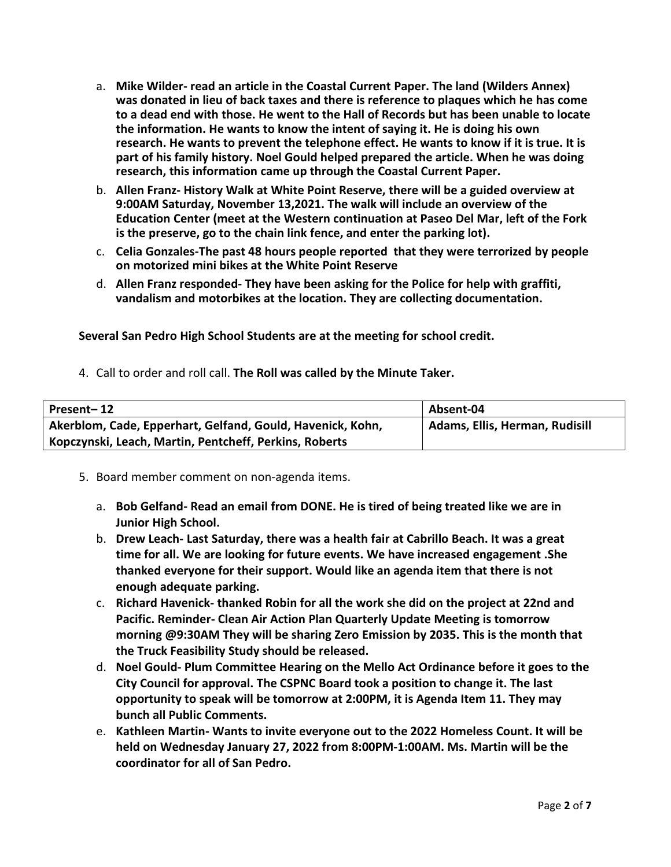- a. **Mike Wilder- read an article in the Coastal Current Paper. The land (Wilders Annex) was donated in lieu of back taxes and there is reference to plaques which he has come to a dead end with those. He went to the Hall of Records but has been unable to locate the information. He wants to know the intent of saying it. He is doing his own research. He wants to prevent the telephone effect. He wants to know if it is true. It is part of his family history. Noel Gould helped prepared the article. When he was doing research, this information came up through the Coastal Current Paper.**
- b. **Allen Franz- History Walk at White Point Reserve, there will be a guided overview at 9:00AM Saturday, November 13,2021. The walk will include an overview of the Education Center (meet at the Western continuation at Paseo Del Mar, left of the Fork is the preserve, go to the chain link fence, and enter the parking lot).**
- c. **Celia Gonzales-The past 48 hours people reported that they were terrorized by people on motorized mini bikes at the White Point Reserve**
- d. **Allen Franz responded- They have been asking for the Police for help with graffiti, vandalism and motorbikes at the location. They are collecting documentation.**

**Several San Pedro High School Students are at the meeting for school credit.**

4. Call to order and roll call. **The Roll was called by the Minute Taker.**

| Present-12                                                 | Absent-04                      |
|------------------------------------------------------------|--------------------------------|
| Akerblom, Cade, Epperhart, Gelfand, Gould, Havenick, Kohn, | Adams, Ellis, Herman, Rudisill |
| Kopczynski, Leach, Martin, Pentcheff, Perkins, Roberts     |                                |

- 5. Board member comment on non-agenda items.
	- a. **Bob Gelfand- Read an email from DONE. He is tired of being treated like we are in Junior High School.**
	- b. **Drew Leach- Last Saturday, there was a health fair at Cabrillo Beach. It was a great time for all. We are looking for future events. We have increased engagement .She thanked everyone for their support. Would like an agenda item that there is not enough adequate parking.**
	- c. **Richard Havenick- thanked Robin for all the work she did on the project at 22nd and Pacific. Reminder- Clean Air Action Plan Quarterly Update Meeting is tomorrow morning @9:30AM They will be sharing Zero Emission by 2035. This is the month that the Truck Feasibility Study should be released.**
	- d. **Noel Gould- Plum Committee Hearing on the Mello Act Ordinance before it goes to the City Council for approval. The CSPNC Board took a position to change it. The last opportunity to speak will be tomorrow at 2:00PM, it is Agenda Item 11. They may bunch all Public Comments.**
	- e. **Kathleen Martin- Wants to invite everyone out to the 2022 Homeless Count. It will be held on Wednesday January 27, 2022 from 8:00PM-1:00AM. Ms. Martin will be the coordinator for all of San Pedro.**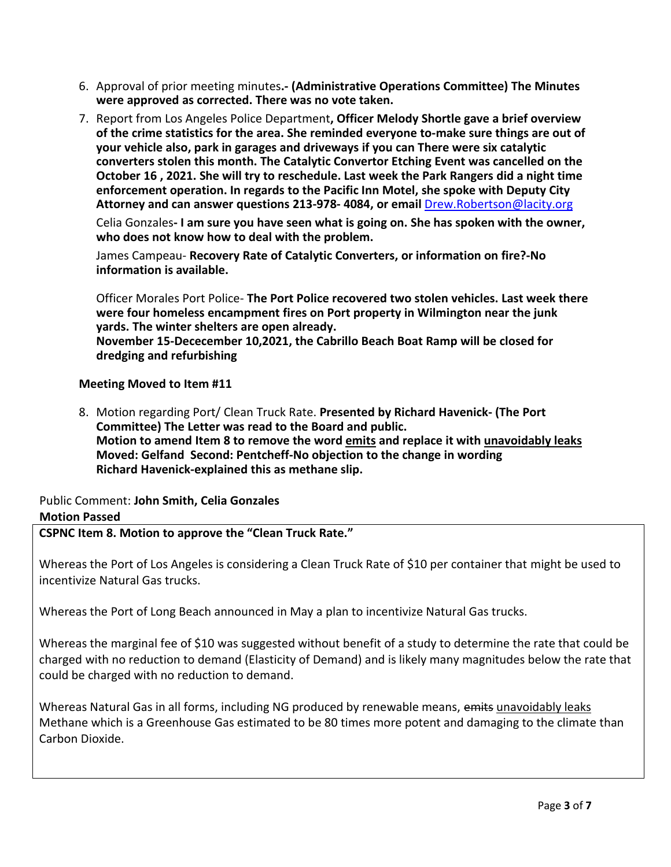- 6. Approval of prior meeting minutes**.- (Administrative Operations Committee) The Minutes were approved as corrected. There was no vote taken.**
- 7. Report from Los Angeles Police Department**, Officer Melody Shortle gave a brief overview of the crime statistics for the area. She reminded everyone to-make sure things are out of your vehicle also, park in garages and driveways if you can There were six catalytic converters stolen this month. The Catalytic Convertor Etching Event was cancelled on the October 16 , 2021. She will try to reschedule. Last week the Park Rangers did a night time enforcement operation. In regards to the Pacific Inn Motel, she spoke with Deputy City Attorney and can answer questions 213-978- 4084, or email** [Drew.Robertson@lacity.org](mailto:Drew.Robertson@lacity.org)

Celia Gonzales**- I am sure you have seen what is going on. She has spoken with the owner, who does not know how to deal with the problem.**

James Campeau- **Recovery Rate of Catalytic Converters, or information on fire?-No information is available.**

Officer Morales Port Police- **The Port Police recovered two stolen vehicles. Last week there were four homeless encampment fires on Port property in Wilmington near the junk yards. The winter shelters are open already.**

**November 15-Dececember 10,2021, the Cabrillo Beach Boat Ramp will be closed for dredging and refurbishing**

### **Meeting Moved to Item #11**

8. Motion regarding Port/ Clean Truck Rate. **Presented by Richard Havenick- (The Port Committee) The Letter was read to the Board and public. Motion to amend Item 8 to remove the word emits and replace it with unavoidably leaks Moved: Gelfand Second: Pentcheff-No objection to the change in wording Richard Havenick-explained this as methane slip.**

# Public Comment: **John Smith, Celia Gonzales Motion Passed**

**CSPNC Item 8. Motion to approve the "Clean Truck Rate."**

Whereas the Port of Los Angeles is considering a Clean Truck Rate of \$10 per container that might be used to incentivize Natural Gas trucks.

Whereas the Port of Long Beach announced in May a plan to incentivize Natural Gas trucks.

Whereas the marginal fee of \$10 was suggested without benefit of a study to determine the rate that could be charged with no reduction to demand (Elasticity of Demand) and is likely many magnitudes below the rate that could be charged with no reduction to demand.

Whereas Natural Gas in all forms, including NG produced by renewable means, emits unavoidably leaks Methane which is a Greenhouse Gas estimated to be 80 times more potent and damaging to the climate than Carbon Dioxide.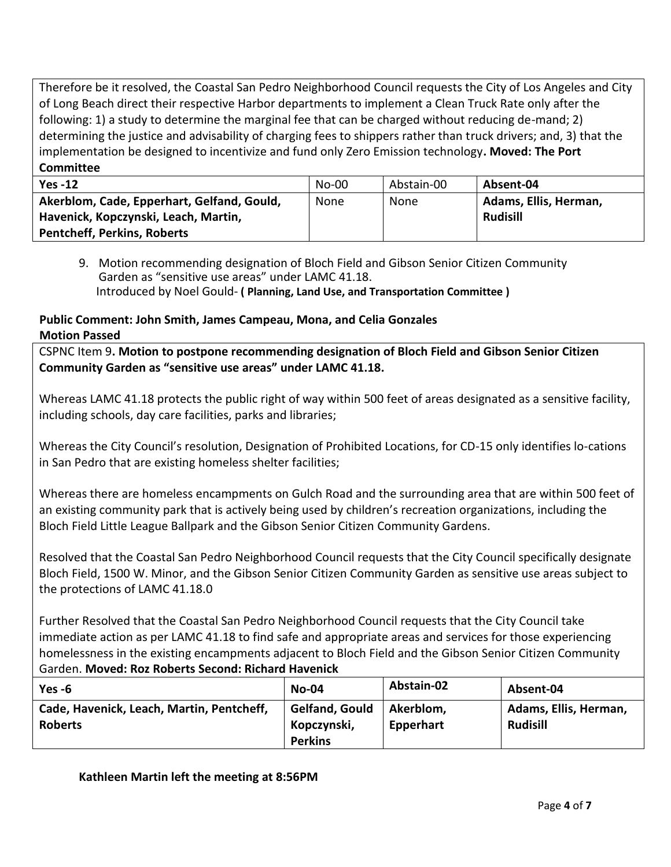Therefore be it resolved, the Coastal San Pedro Neighborhood Council requests the City of Los Angeles and City of Long Beach direct their respective Harbor departments to implement a Clean Truck Rate only after the following: 1) a study to determine the marginal fee that can be charged without reducing de-mand; 2) determining the justice and advisability of charging fees to shippers rather than truck drivers; and, 3) that the implementation be designed to incentivize and fund only Zero Emission technology**. Moved: The Port Committee**

| $Yes -12$                                  | $No-00$ | Abstain-00 | Absent-04             |
|--------------------------------------------|---------|------------|-----------------------|
| Akerblom, Cade, Epperhart, Gelfand, Gould, | None    | None       | Adams, Ellis, Herman, |
| Havenick, Kopczynski, Leach, Martin,       |         |            | <b>Rudisill</b>       |
| <b>Pentcheff, Perkins, Roberts</b>         |         |            |                       |

9. Motion recommending designation of Bloch Field and Gibson Senior Citizen Community Garden as "sensitive use areas" under LAMC 41.18. Introduced by Noel Gould- **( Planning, Land Use, and Transportation Committee )**

# **Public Comment: John Smith, James Campeau, Mona, and Celia Gonzales Motion Passed**

CSPNC Item 9**. Motion to postpone recommending designation of Bloch Field and Gibson Senior Citizen Community Garden as "sensitive use areas" under LAMC 41.18.**

Whereas LAMC 41.18 protects the public right of way within 500 feet of areas designated as a sensitive facility, including schools, day care facilities, parks and libraries;

Whereas the City Council's resolution, Designation of Prohibited Locations, for CD-15 only identifies lo-cations in San Pedro that are existing homeless shelter facilities;

Whereas there are homeless encampments on Gulch Road and the surrounding area that are within 500 feet of an existing community park that is actively being used by children's recreation organizations, including the Bloch Field Little League Ballpark and the Gibson Senior Citizen Community Gardens.

Resolved that the Coastal San Pedro Neighborhood Council requests that the City Council specifically designate Bloch Field, 1500 W. Minor, and the Gibson Senior Citizen Community Garden as sensitive use areas subject to the protections of LAMC 41.18.0

Further Resolved that the Coastal San Pedro Neighborhood Council requests that the City Council take immediate action as per LAMC 41.18 to find safe and appropriate areas and services for those experiencing homelessness in the existing encampments adjacent to Bloch Field and the Gibson Senior Citizen Community Garden. **Moved: Roz Roberts Second: Richard Havenick**

| Yes -6                                                      | <b>No-04</b>                                    | Abstain-02             | Absent-04                                |
|-------------------------------------------------------------|-------------------------------------------------|------------------------|------------------------------------------|
| Cade, Havenick, Leach, Martin, Pentcheff,<br><b>Roberts</b> | Gelfand, Gould<br>Kopczynski,<br><b>Perkins</b> | Akerblom,<br>Epperhart | Adams, Ellis, Herman,<br><b>Rudisill</b> |

**Kathleen Martin left the meeting at 8:56PM**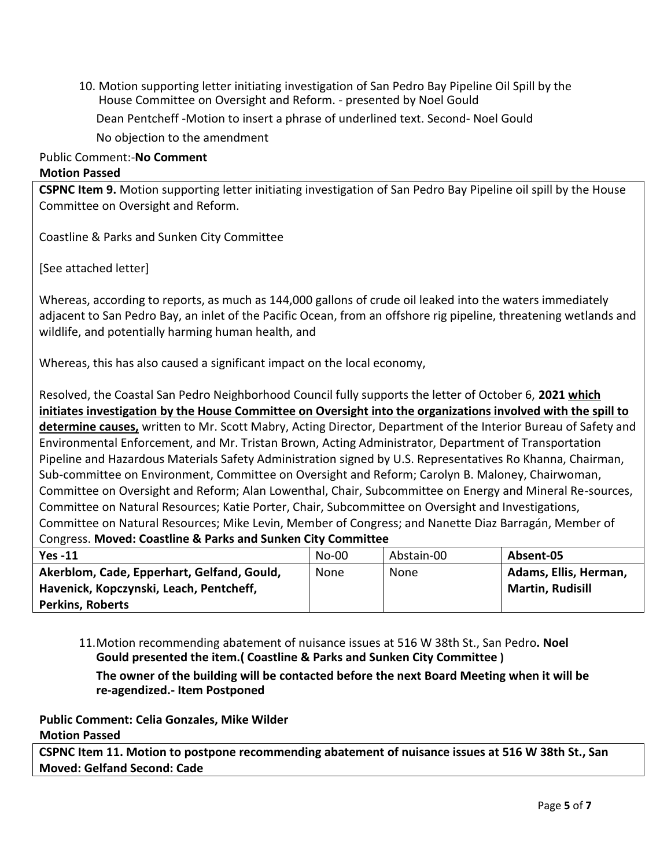10. Motion supporting letter initiating investigation of San Pedro Bay Pipeline Oil Spill by the House Committee on Oversight and Reform. - presented by Noel Gould

Dean Pentcheff -Motion to insert a phrase of underlined text. Second- Noel Gould

No objection to the amendment

#### Public Comment:-**No Comment**

#### **Motion Passed**

**CSPNC Item 9.** Motion supporting letter initiating investigation of San Pedro Bay Pipeline oil spill by the House Committee on Oversight and Reform.

Coastline & Parks and Sunken City Committee

[See attached letter]

Whereas, according to reports, as much as 144,000 gallons of crude oil leaked into the waters immediately adjacent to San Pedro Bay, an inlet of the Pacific Ocean, from an offshore rig pipeline, threatening wetlands and wildlife, and potentially harming human health, and

Whereas, this has also caused a significant impact on the local economy,

Resolved, the Coastal San Pedro Neighborhood Council fully supports the letter of October 6, **2021 which initiates investigation by the House Committee on Oversight into the organizations involved with the spill to determine causes,** written to Mr. Scott Mabry, Acting Director, Department of the Interior Bureau of Safety and Environmental Enforcement, and Mr. Tristan Brown, Acting Administrator, Department of Transportation Pipeline and Hazardous Materials Safety Administration signed by U.S. Representatives Ro Khanna, Chairman, Sub-committee on Environment, Committee on Oversight and Reform; Carolyn B. Maloney, Chairwoman, Committee on Oversight and Reform; Alan Lowenthal, Chair, Subcommittee on Energy and Mineral Re-sources, Committee on Natural Resources; Katie Porter, Chair, Subcommittee on Oversight and Investigations, Committee on Natural Resources; Mike Levin, Member of Congress; and Nanette Diaz Barragán, Member of Congress. **Moved: Coastline & Parks and Sunken City Committee**

| $Yes -11$                                  | $No-00$ | Abstain-00 | Absent-05               |
|--------------------------------------------|---------|------------|-------------------------|
| Akerblom, Cade, Epperhart, Gelfand, Gould, | None    | None       | Adams, Ellis, Herman,   |
| Havenick, Kopczynski, Leach, Pentcheff,    |         |            | <b>Martin, Rudisill</b> |
| <b>Perkins, Roberts</b>                    |         |            |                         |

11.Motion recommending abatement of nuisance issues at 516 W 38th St., San Pedro**. Noel Gould presented the item.( Coastline & Parks and Sunken City Committee )**

**The owner of the building will be contacted before the next Board Meeting when it will be re-agendized.- Item Postponed**

**Public Comment: Celia Gonzales, Mike Wilder**

# **Motion Passed**

**CSPNC Item 11. Motion to postpone recommending abatement of nuisance issues at 516 W 38th St., San Moved: Gelfand Second: Cade**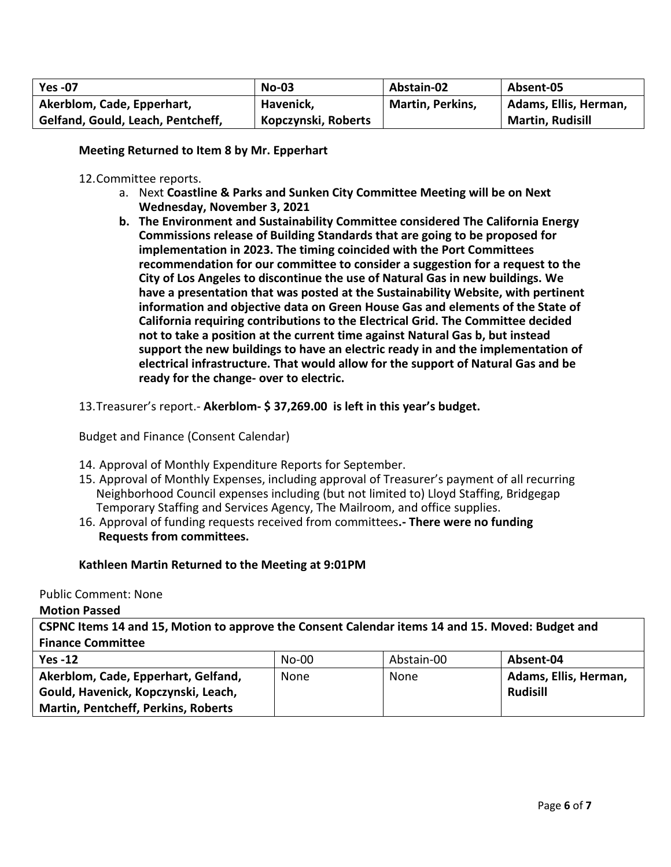| <b>Yes -07</b>                    | $No-03$             | Abstain-02              | Absent-05               |
|-----------------------------------|---------------------|-------------------------|-------------------------|
| Akerblom, Cade, Epperhart,        | Havenick,           | <b>Martin, Perkins,</b> | Adams, Ellis, Herman,   |
| Gelfand, Gould, Leach, Pentcheff, | Kopczynski, Roberts |                         | <b>Martin, Rudisill</b> |

**Meeting Returned to Item 8 by Mr. Epperhart**

#### 12.Committee reports.

- a. Next **Coastline & Parks and Sunken City Committee Meeting will be on Next Wednesday, November 3, 2021**
- **b. The Environment and Sustainability Committee considered The California Energy Commissions release of Building Standards that are going to be proposed for implementation in 2023. The timing coincided with the Port Committees recommendation for our committee to consider a suggestion for a request to the City of Los Angeles to discontinue the use of Natural Gas in new buildings. We have a presentation that was posted at the Sustainability Website, with pertinent information and objective data on Green House Gas and elements of the State of California requiring contributions to the Electrical Grid. The Committee decided not to take a position at the current time against Natural Gas b, but instead support the new buildings to have an electric ready in and the implementation of electrical infrastructure. That would allow for the support of Natural Gas and be ready for the change- over to electric.**

13.Treasurer's report.- **Akerblom- \$ 37,269.00 is left in this year's budget.**

Budget and Finance (Consent Calendar)

- 14. Approval of Monthly Expenditure Reports for September.
- 15. Approval of Monthly Expenses, including approval of Treasurer's payment of all recurring Neighborhood Council expenses including (but not limited to) Lloyd Staffing, Bridgegap Temporary Staffing and Services Agency, The Mailroom, and office supplies.
- 16. Approval of funding requests received from committees**.- There were no funding Requests from committees.**

# **Kathleen Martin Returned to the Meeting at 9:01PM**

Public Comment: None

**Motion Passed**

**CSPNC Items 14 and 15, Motion to approve the Consent Calendar items 14 and 15. Moved: Budget and Finance Committee**

| $Yes -12$                                  | No-00 | Abstain-00 | Absent-04             |
|--------------------------------------------|-------|------------|-----------------------|
| Akerblom, Cade, Epperhart, Gelfand,        | None  | None       | Adams, Ellis, Herman, |
| Gould, Havenick, Kopczynski, Leach,        |       |            | Rudisill              |
| <b>Martin, Pentcheff, Perkins, Roberts</b> |       |            |                       |